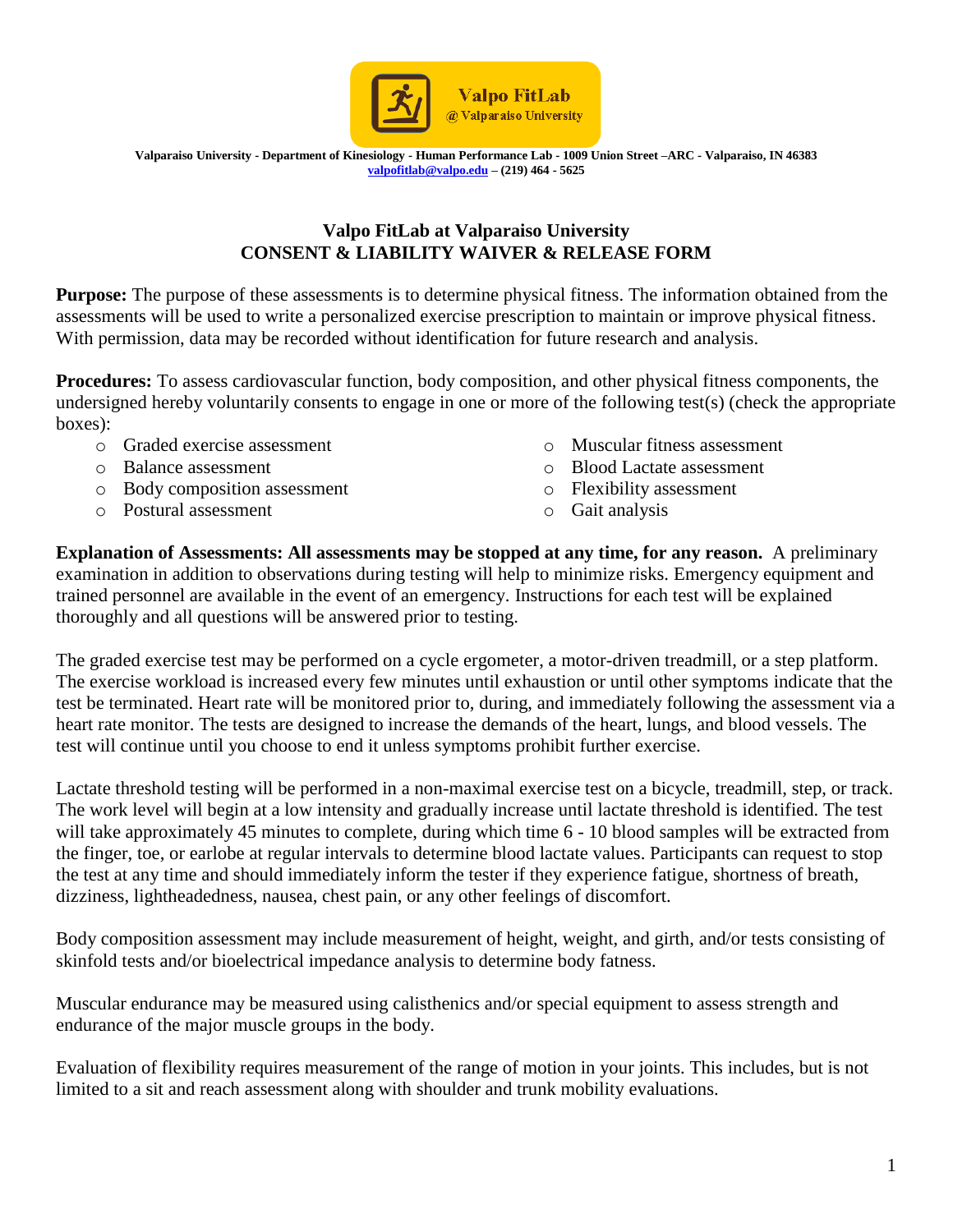

**Valparaiso University - Department of Kinesiology - Human Performance Lab - 1009 Union Street –ARC - Valparaiso, IN 46383 [valpofitlab@valpo.edu](mailto:valpofitlab@valpo.edu) – (219) 464 - 5625**

## **Valpo FitLab at Valparaiso University CONSENT & LIABILITY WAIVER & RELEASE FORM**

**Purpose:** The purpose of these assessments is to determine physical fitness. The information obtained from the assessments will be used to write a personalized exercise prescription to maintain or improve physical fitness. With permission, data may be recorded without identification for future research and analysis.

**Procedures:** To assess cardiovascular function, body composition, and other physical fitness components, the undersigned hereby voluntarily consents to engage in one or more of the following test(s) (check the appropriate boxes):

- o Graded exercise assessment
- o Balance assessment
- o Body composition assessment
- o Postural assessment
- o Muscular fitness assessment
- o Blood Lactate assessment
- o Flexibility assessment
- o Gait analysis

**Explanation of Assessments: All assessments may be stopped at any time, for any reason.** A preliminary examination in addition to observations during testing will help to minimize risks. Emergency equipment and trained personnel are available in the event of an emergency. Instructions for each test will be explained thoroughly and all questions will be answered prior to testing.

The graded exercise test may be performed on a cycle ergometer, a motor-driven treadmill, or a step platform. The exercise workload is increased every few minutes until exhaustion or until other symptoms indicate that the test be terminated. Heart rate will be monitored prior to, during, and immediately following the assessment via a heart rate monitor. The tests are designed to increase the demands of the heart, lungs, and blood vessels. The test will continue until you choose to end it unless symptoms prohibit further exercise.

Lactate threshold testing will be performed in a non-maximal exercise test on a bicycle, treadmill, step, or track. The work level will begin at a low intensity and gradually increase until lactate threshold is identified. The test will take approximately 45 minutes to complete, during which time 6 - 10 blood samples will be extracted from the finger, toe, or earlobe at regular intervals to determine blood lactate values. Participants can request to stop the test at any time and should immediately inform the tester if they experience fatigue, shortness of breath, dizziness, lightheadedness, nausea, chest pain, or any other feelings of discomfort.

Body composition assessment may include measurement of height, weight, and girth, and/or tests consisting of skinfold tests and/or bioelectrical impedance analysis to determine body fatness.

Muscular endurance may be measured using calisthenics and/or special equipment to assess strength and endurance of the major muscle groups in the body.

Evaluation of flexibility requires measurement of the range of motion in your joints. This includes, but is not limited to a sit and reach assessment along with shoulder and trunk mobility evaluations.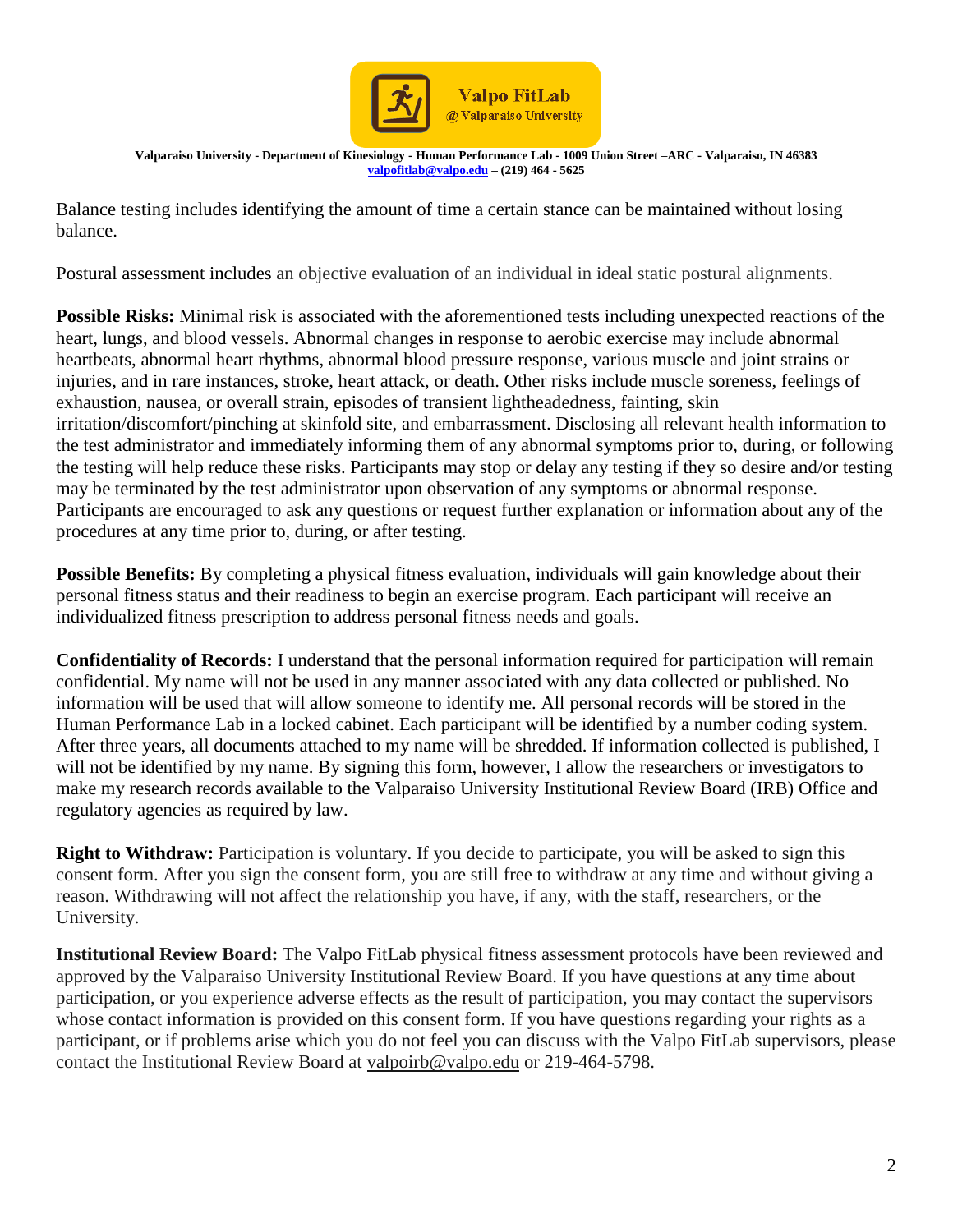

**Valparaiso University - Department of Kinesiology - Human Performance Lab - 1009 Union Street –ARC - Valparaiso, IN 46383 [valpofitlab@valpo.edu](mailto:valpofitlab@valpo.edu) – (219) 464 - 5625**

Balance testing includes identifying the amount of time a certain stance can be maintained without losing balance.

Postural assessment includes an objective evaluation of an individual in ideal static postural alignments.

**Possible Risks:** Minimal risk is associated with the aforementioned tests including unexpected reactions of the heart, lungs, and blood vessels. Abnormal changes in response to aerobic exercise may include abnormal heartbeats, abnormal heart rhythms, abnormal blood pressure response, various muscle and joint strains or injuries, and in rare instances, stroke, heart attack, or death. Other risks include muscle soreness, feelings of exhaustion, nausea, or overall strain, episodes of transient lightheadedness, fainting, skin irritation/discomfort/pinching at skinfold site, and embarrassment. Disclosing all relevant health information to the test administrator and immediately informing them of any abnormal symptoms prior to, during, or following the testing will help reduce these risks. Participants may stop or delay any testing if they so desire and/or testing may be terminated by the test administrator upon observation of any symptoms or abnormal response. Participants are encouraged to ask any questions or request further explanation or information about any of the procedures at any time prior to, during, or after testing.

**Possible Benefits:** By completing a physical fitness evaluation, individuals will gain knowledge about their personal fitness status and their readiness to begin an exercise program. Each participant will receive an individualized fitness prescription to address personal fitness needs and goals.

**Confidentiality of Records:** I understand that the personal information required for participation will remain confidential. My name will not be used in any manner associated with any data collected or published. No information will be used that will allow someone to identify me. All personal records will be stored in the Human Performance Lab in a locked cabinet. Each participant will be identified by a number coding system. After three years, all documents attached to my name will be shredded. If information collected is published, I will not be identified by my name. By signing this form, however, I allow the researchers or investigators to make my research records available to the Valparaiso University Institutional Review Board (IRB) Office and regulatory agencies as required by law.

**Right to Withdraw:** Participation is voluntary. If you decide to participate, you will be asked to sign this consent form. After you sign the consent form, you are still free to withdraw at any time and without giving a reason. Withdrawing will not affect the relationship you have, if any, with the staff, researchers, or the University.

**Institutional Review Board:** The Valpo FitLab physical fitness assessment protocols have been reviewed and approved by the Valparaiso University Institutional Review Board. If you have questions at any time about participation, or you experience adverse effects as the result of participation, you may contact the supervisors whose contact information is provided on this consent form. If you have questions regarding your rights as a participant, or if problems arise which you do not feel you can discuss with the Valpo FitLab supervisors, please contact the Institutional Review Board at [valpoirb@valpo.edu](http://www.valpo.edu/osur/facultyresources/valpoirb@valpo.edu) or 219-464-5798.